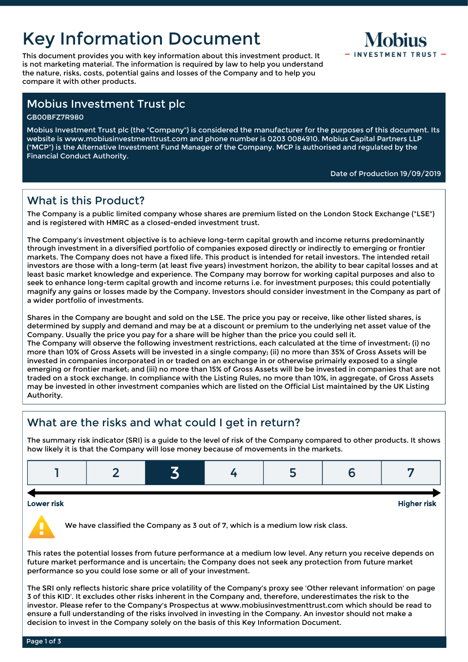# Key Information Document

This document provides you with key information about this investment product. It is not marketing material. The information is required by law to help you understand the nature, risks, costs, potential gains and losses of the Company and to help you compare it with other products.



### Mobius Investment Trust plc

GB00BFZ7R980

Mobius Investment Trust plc (the "Company") is considered the manufacturer for the purposes of this document. Its website is www.mobiusinvestmenttrust.com and phone number is 0203 0084910. Mobius Capital Partners LLP ("MCP") is the Alternative Investment Fund Manager of the Company. MCP is authorised and regulated by the Financial Conduct Authority.

#### Date of Production 19/09/2019

# What is this Product?

The Company is a public limited company whose shares are premium listed on the London Stock Exchange ("LSE") and is registered with HMRC as a closed-ended investment trust.

The Company's investment objective is to achieve long-term capital growth and income returns predominantly through investment in a diversified portfolio of companies exposed directly or indirectly to emerging or frontier markets. The Company does not have a fixed life. This product is intended for retail investors. The intended retail investors are those with a long-term (at least five years) investment horizon, the ability to bear capital losses and at least basic market knowledge and experience. The Company may borrow for working capital purposes and also to seek to enhance long-term capital growth and income returns i.e. for investment purposes; this could potentially magnify any gains or losses made by the Company. Investors should consider investment in the Company as part of a wider portfolio of investments.

Shares in the Company are bought and sold on the LSE. The price you pay or receive, like other listed shares, is determined by supply and demand and may be at a discount or premium to the underlying net asset value of the Company. Usually the price you pay for a share will be higher than the price you could sell it. The Company will observe the following investment restrictions, each calculated at the time of investment: (i) no more than 10% of Gross Assets will be invested in a single company; (ii) no more than 35% of Gross Assets will be invested in companies incorporated in or traded on an exchange in or otherwise primairly exposed to a single emerging or frontier market; and (iii) no more than 15% of Gross Assets will be be invested in companies that are not traded on a stock exchange. In compliance with the Listing Rules, no more than 10%, in aggregate, of Gross Assets may be invested in other investment companies which are listed on the Official List maintained by the UK Listing Authority.

# What are the risks and what could I get in return?

The summary risk indicator (SRI) is a guide to the level of risk of the Company compared to other products. It shows how likely it is that the Company will lose money because of movements in the markets.



We have classified the Company as 3 out of 7, which is a medium low risk class.

This rates the potential losses from future performance at a medium low level. Any return you receive depends on future market performance and is uncertain; the Company does not seek any protection from future market performance so you could lose some or all of your investment.

The SRI only reflects historic share price volatility of the Company's proxy see 'Other relevant information' on page 3 of this KID'. It excludes other risks inherent in the Company and, therefore, underestimates the risk to the investor. Please refer to the Company's Prospectus at www.mobiusinvestmenttrust.com which should be read to ensure a full understanding of the risks involved in investing in the Company. An investor should not make a decision to invest in the Company solely on the basis of this Key Information Document.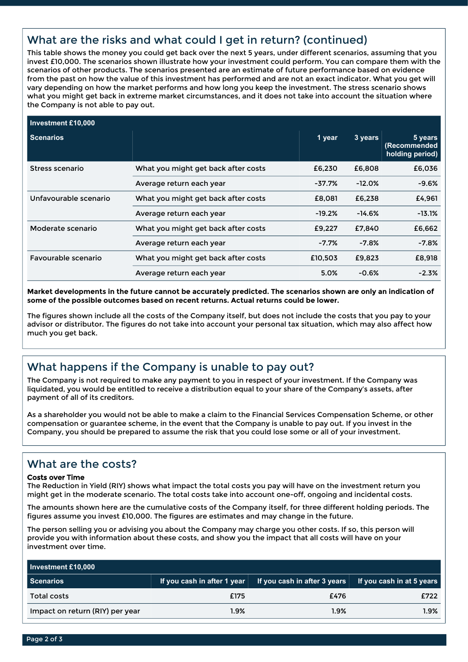# What are the risks and what could I get in return? (continued)

This table shows the money you could get back over the next 5 years, under different scenarios, assuming that you invest £10,000. The scenarios shown illustrate how your investment could perform. You can compare them with the scenarios of other products. The scenarios presented are an estimate of future performance based on evidence from the past on how the value of this investment has performed and are not an exact indicator. What you get will vary depending on how the market performs and how long you keep the investment. The stress scenario shows what you might get back in extreme market circumstances, and it does not take into account the situation where the Company is not able to pay out.

| Investment £10,000    |                                     |          |          |                                            |
|-----------------------|-------------------------------------|----------|----------|--------------------------------------------|
| Scenarios             |                                     | 1 year   | 3 years  | 5 years<br>(Recommended<br>holding period) |
| Stress scenario       | What you might get back after costs | £6,230   | £6,808   | £6,036                                     |
|                       | Average return each year            | $-37.7%$ | $-12.0%$ | $-9.6%$                                    |
| Unfavourable scenario | What you might get back after costs | £8,081   | £6,238   | £4,961                                     |
|                       | Average return each year            | $-19.2%$ | $-14.6%$ | $-13.1%$                                   |
| Moderate scenario     | What you might get back after costs | £9,227   | £7.840   | £6,662                                     |
|                       | Average return each year            | $-7.7%$  | $-7.8%$  | $-7.8%$                                    |
| Favourable scenario   | What you might get back after costs | £10.503  | £9.823   | £8,918                                     |
|                       | Average return each year            | 5.0%     | $-0.6%$  | $-2.3%$                                    |

**Market developments in the future cannot be accurately predicted. The scenarios shown are only an indication of some of the possible outcomes based on recent returns. Actual returns could be lower.**

The figures shown include all the costs of the Company itself, but does not include the costs that you pay to your advisor or distributor. The figures do not take into account your personal tax situation, which may also affect how much you get back.

# What happens if the Company is unable to pay out?

The Company is not required to make any payment to you in respect of your investment. If the Company was liquidated, you would be entitled to receive a distribution equal to your share of the Company's assets, after payment of all of its creditors.

As a shareholder you would not be able to make a claim to the Financial Services Compensation Scheme, or other compensation or guarantee scheme, in the event that the Company is unable to pay out. If you invest in the Company, you should be prepared to assume the risk that you could lose some or all of your investment.

### What are the costs?

#### Costs over Time

The Reduction in Yield (RIY) shows what impact the total costs you pay will have on the investment return you might get in the moderate scenario. The total costs take into account one-off, ongoing and incidental costs.

The amounts shown here are the cumulative costs of the Company itself, for three different holding periods. The figures assume you invest £10,000. The figures are estimates and may change in the future.

The person selling you or advising you about the Company may charge you other costs. If so, this person will provide you with information about these costs, and show you the impact that all costs will have on your investment over time.

| Investment £10,000              |      |                                                                                    |      |  |  |  |
|---------------------------------|------|------------------------------------------------------------------------------------|------|--|--|--|
| Scenarios                       |      | If you cash in after 1 year If you cash in after 3 years If you cash in at 5 years |      |  |  |  |
| Total costs                     | £175 | £476                                                                               | £722 |  |  |  |
| Impact on return (RIY) per year | 1.9% | 1.9%                                                                               | 1.9% |  |  |  |